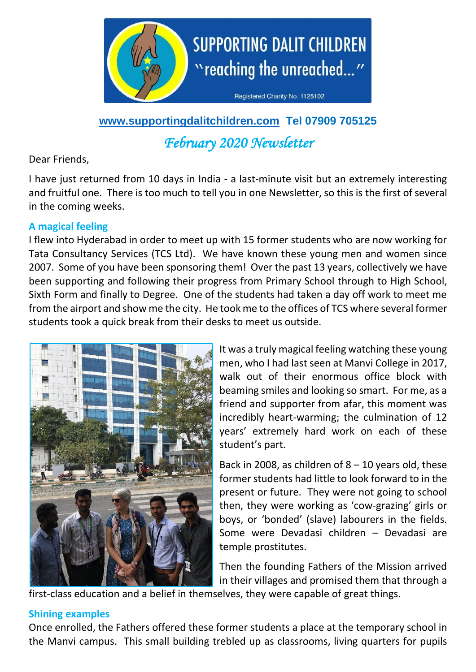

**[www.supportingdalitchildren.com](http://www.supportingdalitchildren.com/) Tel 07909 705125**

*February 2020 Newsletter* 

### Dear Friends,

I have just returned from 10 days in India - a last-minute visit but an extremely interesting and fruitful one. There is too much to tell you in one Newsletter, so this is the first of several in the coming weeks.

# **A magical feeling**

I flew into Hyderabad in order to meet up with 15 former students who are now working for Tata Consultancy Services (TCS Ltd). We have known these young men and women since 2007. Some of you have been sponsoring them! Over the past 13 years, collectively we have been supporting and following their progress from Primary School through to High School, Sixth Form and finally to Degree. One of the students had taken a day off work to meet me from the airport and show me the city. He took me to the offices of TCS where several former students took a quick break from their desks to meet us outside.



It was a truly magical feeling watching these young men, who I had last seen at Manvi College in 2017, walk out of their enormous office block with beaming smiles and looking so smart. For me, as a friend and supporter from afar, this moment was incredibly heart-warming; the culmination of 12 years' extremely hard work on each of these student's part.

Back in 2008, as children of  $8 - 10$  years old, these former students had little to look forward to in the present or future. They were not going to school then, they were working as 'cow-grazing' girls or boys, or 'bonded' (slave) labourers in the fields. Some were Devadasi children – Devadasi are temple prostitutes.

Then the founding Fathers of the Mission arrived in their villages and promised them that through a

first-class education and a belief in themselves, they were capable of great things.

# **Shining examples**

Once enrolled, the Fathers offered these former students a place at the temporary school in the Manvi campus. This small building trebled up as classrooms, living quarters for pupils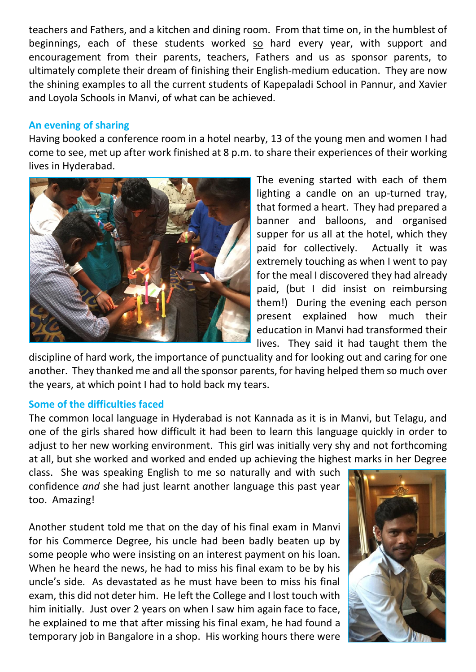teachers and Fathers, and a kitchen and dining room. From that time on, in the humblest of beginnings, each of these students worked so hard every year, with support and encouragement from their parents, teachers, Fathers and us as sponsor parents, to ultimately complete their dream of finishing their English-medium education. They are now the shining examples to all the current students of Kapepaladi School in Pannur, and Xavier and Loyola Schools in Manvi, of what can be achieved.

### **An evening of sharing**

Having booked a conference room in a hotel nearby, 13 of the young men and women I had come to see, met up after work finished at 8 p.m. to share their experiences of their working lives in Hyderabad.



The evening started with each of them lighting a candle on an up-turned tray, that formed a heart. They had prepared a banner and balloons, and organised supper for us all at the hotel, which they paid for collectively. Actually it was extremely touching as when I went to pay for the meal I discovered they had already paid, (but I did insist on reimbursing them!) During the evening each person present explained how much their education in Manvi had transformed their lives. They said it had taught them the

discipline of hard work, the importance of punctuality and for looking out and caring for one another. They thanked me and all the sponsor parents, for having helped them so much over the years, at which point I had to hold back my tears.

#### **Some of the difficulties faced**

The common local language in Hyderabad is not Kannada as it is in Manvi, but Telagu, and one of the girls shared how difficult it had been to learn this language quickly in order to adjust to her new working environment. This girl was initially very shy and not forthcoming at all, but she worked and worked and ended up achieving the highest marks in her Degree

class. She was speaking English to me so naturally and with such confidence *and* she had just learnt another language this past year too. Amazing!

Another student told me that on the day of his final exam in Manvi for his Commerce Degree, his uncle had been badly beaten up by some people who were insisting on an interest payment on his loan. When he heard the news, he had to miss his final exam to be by his uncle's side. As devastated as he must have been to miss his final exam, this did not deter him. He left the College and I lost touch with him initially. Just over 2 years on when I saw him again face to face, he explained to me that after missing his final exam, he had found a temporary job in Bangalore in a shop. His working hours there were

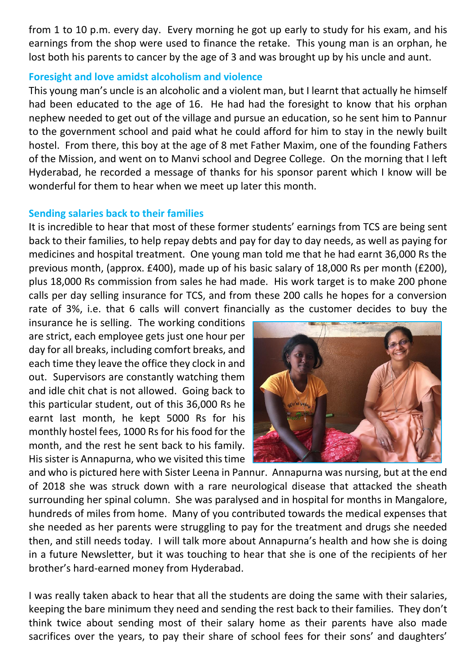from 1 to 10 p.m. every day. Every morning he got up early to study for his exam, and his earnings from the shop were used to finance the retake. This young man is an orphan, he lost both his parents to cancer by the age of 3 and was brought up by his uncle and aunt.

### **Foresight and love amidst alcoholism and violence**

This young man's uncle is an alcoholic and a violent man, but I learnt that actually he himself had been educated to the age of 16. He had had the foresight to know that his orphan nephew needed to get out of the village and pursue an education, so he sent him to Pannur to the government school and paid what he could afford for him to stay in the newly built hostel. From there, this boy at the age of 8 met Father Maxim, one of the founding Fathers of the Mission, and went on to Manvi school and Degree College. On the morning that I left Hyderabad, he recorded a message of thanks for his sponsor parent which I know will be wonderful for them to hear when we meet up later this month.

### **Sending salaries back to their families**

It is incredible to hear that most of these former students' earnings from TCS are being sent back to their families, to help repay debts and pay for day to day needs, as well as paying for medicines and hospital treatment. One young man told me that he had earnt 36,000 Rs the previous month, (approx. £400), made up of his basic salary of 18,000 Rs per month (£200), plus 18,000 Rs commission from sales he had made. His work target is to make 200 phone calls per day selling insurance for TCS, and from these 200 calls he hopes for a conversion rate of 3%, i.e. that 6 calls will convert financially as the customer decides to buy the

insurance he is selling. The working conditions are strict, each employee gets just one hour per day for all breaks, including comfort breaks, and each time they leave the office they clock in and out. Supervisors are constantly watching them and idle chit chat is not allowed. Going back to this particular student, out of this 36,000 Rs he earnt last month, he kept 5000 Rs for his monthly hostel fees, 1000 Rs for his food for the month, and the rest he sent back to his family. His sister is Annapurna, who we visited this time



and who is pictured here with Sister Leena in Pannur. Annapurna was nursing, but at the end of 2018 she was struck down with a rare neurological disease that attacked the sheath surrounding her spinal column. She was paralysed and in hospital for months in Mangalore, hundreds of miles from home. Many of you contributed towards the medical expenses that she needed as her parents were struggling to pay for the treatment and drugs she needed then, and still needs today. I will talk more about Annapurna's health and how she is doing in a future Newsletter, but it was touching to hear that she is one of the recipients of her brother's hard-earned money from Hyderabad.

I was really taken aback to hear that all the students are doing the same with their salaries, keeping the bare minimum they need and sending the rest back to their families. They don't think twice about sending most of their salary home as their parents have also made sacrifices over the years, to pay their share of school fees for their sons' and daughters'